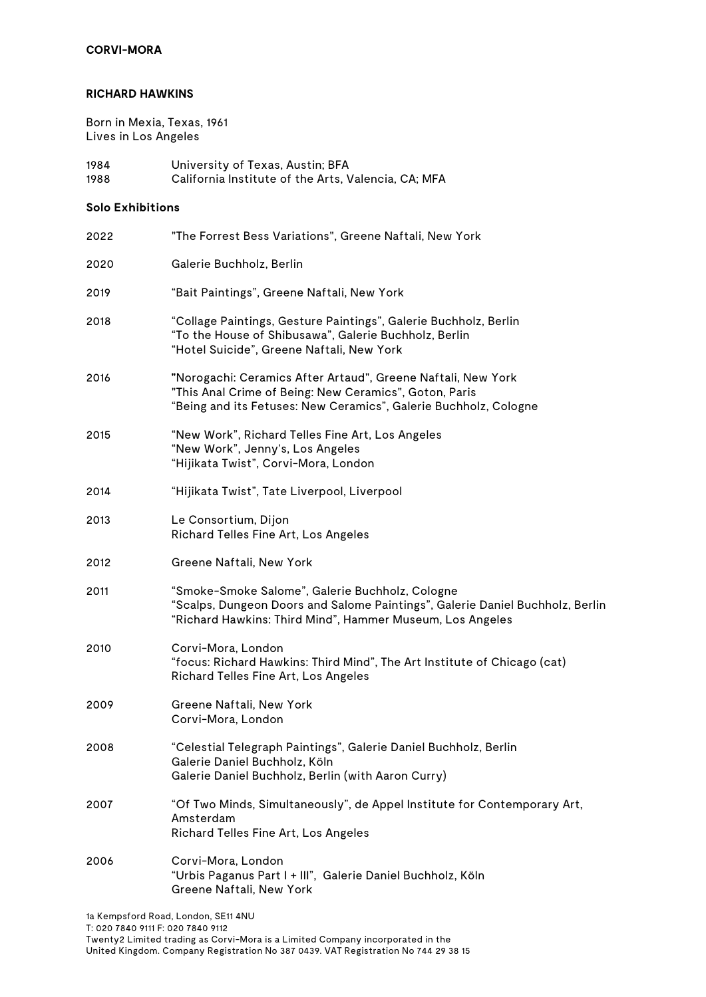#### **RICHARD HAWKINS**

Born in Mexia, Texas, 1961 Lives in Los Angeles

1984 University of Texas, Austin; BFA 1988 California Institute of the Arts, Valencia, CA; MFA

#### **Solo Exhibitions**

| 2022 | "The Forrest Bess Variations", Greene Naftali, New York                                                                                                                                       |
|------|-----------------------------------------------------------------------------------------------------------------------------------------------------------------------------------------------|
| 2020 | Galerie Buchholz, Berlin                                                                                                                                                                      |
| 2019 | "Bait Paintings", Greene Naftali, New York                                                                                                                                                    |
| 2018 | "Collage Paintings, Gesture Paintings", Galerie Buchholz, Berlin<br>"To the House of Shibusawa", Galerie Buchholz, Berlin<br>"Hotel Suicide", Greene Naftali, New York                        |
| 2016 | "Norogachi: Ceramics After Artaud", Greene Naftali, New York<br>"This Anal Crime of Being: New Ceramics", Goton, Paris<br>"Being and its Fetuses: New Ceramics", Galerie Buchholz, Cologne    |
| 2015 | "New Work", Richard Telles Fine Art, Los Angeles<br>"New Work", Jenny's, Los Angeles<br>"Hijikata Twist", Corvi-Mora, London                                                                  |
| 2014 | "Hijikata Twist", Tate Liverpool, Liverpool                                                                                                                                                   |
| 2013 | Le Consortium, Dijon<br>Richard Telles Fine Art, Los Angeles                                                                                                                                  |
| 2012 | Greene Naftali, New York                                                                                                                                                                      |
| 2011 | "Smoke-Smoke Salome", Galerie Buchholz, Cologne<br>"Scalps, Dungeon Doors and Salome Paintings", Galerie Daniel Buchholz, Berlin<br>"Richard Hawkins: Third Mind", Hammer Museum, Los Angeles |
| 2010 | Corvi-Mora, London<br>"focus: Richard Hawkins: Third Mind", The Art Institute of Chicago (cat)<br>Richard Telles Fine Art, Los Angeles                                                        |
| 2009 | Greene Naftali, New York<br>Corvi-Mora, London                                                                                                                                                |
| 2008 | "Celestial Telegraph Paintings", Galerie Daniel Buchholz, Berlin<br>Galerie Daniel Buchholz, Köln<br>Galerie Daniel Buchholz, Berlin (with Aaron Curry)                                       |
| 2007 | "Of Two Minds, Simultaneously", de Appel Institute for Contemporary Art,<br>Amsterdam<br>Richard Telles Fine Art, Los Angeles                                                                 |
| 2006 | Corvi-Mora, London<br>"Urbis Paganus Part I + III", Galerie Daniel Buchholz, Köln<br>Greene Naftali, New York                                                                                 |
|      |                                                                                                                                                                                               |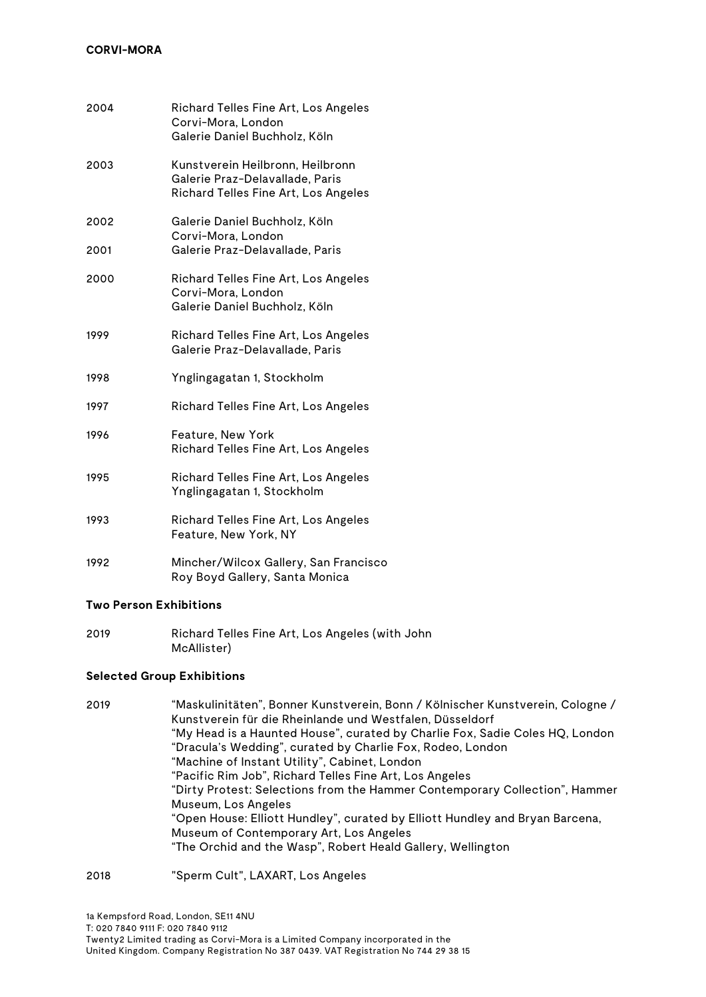| 2004 | Richard Telles Fine Art, Los Angeles<br>Corvi-Mora, London<br>Galerie Daniel Buchholz, Köln                 |
|------|-------------------------------------------------------------------------------------------------------------|
| 2003 | Kunstverein Heilbronn, Heilbronn<br>Galerie Praz-Delavallade, Paris<br>Richard Telles Fine Art, Los Angeles |
| 2002 | Galerie Daniel Buchholz, Köln<br>Corvi-Mora, London                                                         |
| 2001 | Galerie Praz-Delavallade, Paris                                                                             |
| 2000 | Richard Telles Fine Art, Los Angeles<br>Corvi-Mora, London<br>Galerie Daniel Buchholz, Köln                 |
| 1999 | Richard Telles Fine Art, Los Angeles<br>Galerie Praz-Delavallade, Paris                                     |
| 1998 | Ynglingagatan 1, Stockholm                                                                                  |
| 1997 | Richard Telles Fine Art, Los Angeles                                                                        |
| 1996 | Feature, New York<br>Richard Telles Fine Art, Los Angeles                                                   |
| 1995 | Richard Telles Fine Art, Los Angeles<br>Ynglingagatan 1, Stockholm                                          |
| 1993 | Richard Telles Fine Art, Los Angeles<br>Feature, New York, NY                                               |
| 1992 | Mincher/Wilcox Gallery, San Francisco<br>Roy Boyd Gallery, Santa Monica                                     |

#### **Two Person Exhibitions**

2019 Richard Telles Fine Art, Los Angeles (with John McAllister)

## **Selected Group Exhibitions**

| 2019 | "Maskulinitäten", Bonner Kunstverein, Bonn / Kölnischer Kunstverein, Cologne / |
|------|--------------------------------------------------------------------------------|
|      | Kunstverein für die Rheinlande und Westfalen, Düsseldorf                       |
|      | "My Head is a Haunted House", curated by Charlie Fox, Sadie Coles HQ, London   |
|      | "Dracula's Wedding", curated by Charlie Fox, Rodeo, London                     |
|      | "Machine of Instant Utility", Cabinet, London                                  |
|      | "Pacific Rim Job", Richard Telles Fine Art, Los Angeles                        |
|      | "Dirty Protest: Selections from the Hammer Contemporary Collection", Hammer    |
|      | Museum, Los Angeles                                                            |
|      | "Open House: Elliott Hundley", curated by Elliott Hundley and Bryan Barcena,   |
|      | Museum of Contemporary Art, Los Angeles                                        |
|      | "The Orchid and the Wasp", Robert Heald Gallery, Wellington                    |
|      |                                                                                |
|      |                                                                                |

2018 "Sperm Cult", LAXART, Los Angeles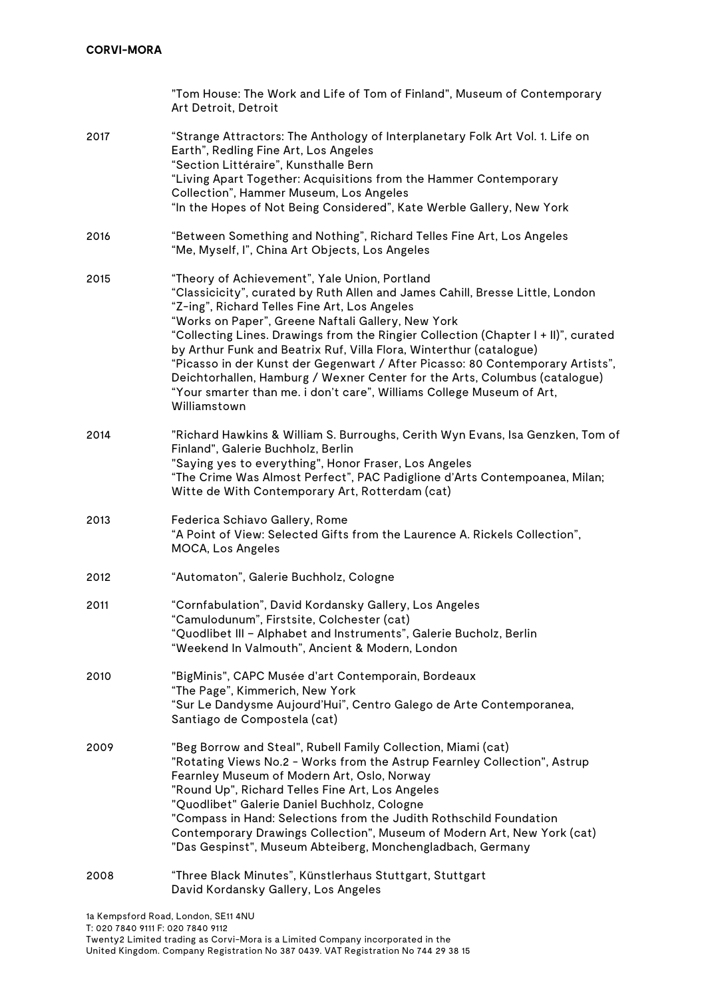|      | "Tom House: The Work and Life of Tom of Finland", Museum of Contemporary<br>Art Detroit, Detroit                                                                                                                                                                                                                                                                                                                                                                                                                                                                                                                                                            |
|------|-------------------------------------------------------------------------------------------------------------------------------------------------------------------------------------------------------------------------------------------------------------------------------------------------------------------------------------------------------------------------------------------------------------------------------------------------------------------------------------------------------------------------------------------------------------------------------------------------------------------------------------------------------------|
| 2017 | "Strange Attractors: The Anthology of Interplanetary Folk Art Vol. 1. Life on<br>Earth", Redling Fine Art, Los Angeles<br>"Section Littéraire", Kunsthalle Bern<br>"Living Apart Together: Acquisitions from the Hammer Contemporary<br>Collection", Hammer Museum, Los Angeles<br>"In the Hopes of Not Being Considered", Kate Werble Gallery, New York                                                                                                                                                                                                                                                                                                    |
| 2016 | "Between Something and Nothing", Richard Telles Fine Art, Los Angeles<br>"Me, Myself, I", China Art Objects, Los Angeles                                                                                                                                                                                                                                                                                                                                                                                                                                                                                                                                    |
| 2015 | "Theory of Achievement", Yale Union, Portland<br>"Classicicity", curated by Ruth Allen and James Cahill, Bresse Little, London<br>"Z-ing", Richard Telles Fine Art, Los Angeles<br>"Works on Paper", Greene Naftali Gallery, New York<br>"Collecting Lines. Drawings from the Ringier Collection (Chapter I + II)", curated<br>by Arthur Funk and Beatrix Ruf, Villa Flora, Winterthur (catalogue)<br>"Picasso in der Kunst der Gegenwart / After Picasso: 80 Contemporary Artists",<br>Deichtorhallen, Hamburg / Wexner Center for the Arts, Columbus (catalogue)<br>"Your smarter than me. i don't care", Williams College Museum of Art,<br>Williamstown |
| 2014 | "Richard Hawkins & William S. Burroughs, Cerith Wyn Evans, Isa Genzken, Tom of<br>Finland", Galerie Buchholz, Berlin<br>"Saying yes to everything", Honor Fraser, Los Angeles<br>"The Crime Was Almost Perfect", PAC Padiglione d'Arts Contempoanea, Milan;<br>Witte de With Contemporary Art, Rotterdam (cat)                                                                                                                                                                                                                                                                                                                                              |
| 2013 | Federica Schiavo Gallery, Rome<br>"A Point of View: Selected Gifts from the Laurence A. Rickels Collection",<br>MOCA, Los Angeles                                                                                                                                                                                                                                                                                                                                                                                                                                                                                                                           |
| 2012 | "Automaton", Galerie Buchholz, Cologne                                                                                                                                                                                                                                                                                                                                                                                                                                                                                                                                                                                                                      |
| 2011 | "Cornfabulation", David Kordansky Gallery, Los Angeles<br>Camulodunum", Firstsite, Colchester (cat)<br>"Quodlibet III - Alphabet and Instruments", Galerie Bucholz, Berlin<br>"Weekend In Valmouth", Ancient & Modern, London                                                                                                                                                                                                                                                                                                                                                                                                                               |
| 2010 | "BigMinis", CAPC Musée d'art Contemporain, Bordeaux<br>"The Page", Kimmerich, New York<br>"Sur Le Dandysme Aujourd'Hui", Centro Galego de Arte Contemporanea,<br>Santiago de Compostela (cat)                                                                                                                                                                                                                                                                                                                                                                                                                                                               |
| 2009 | "Beg Borrow and Steal", Rubell Family Collection, Miami (cat)<br>"Rotating Views No.2 - Works from the Astrup Fearnley Collection", Astrup<br>Fearnley Museum of Modern Art, Oslo, Norway<br>"Round Up", Richard Telles Fine Art, Los Angeles<br>"Quodlibet" Galerie Daniel Buchholz, Cologne<br>"Compass in Hand: Selections from the Judith Rothschild Foundation<br>Contemporary Drawings Collection", Museum of Modern Art, New York (cat)<br>"Das Gespinst", Museum Abteiberg, Monchengladbach, Germany                                                                                                                                                |
| 2008 | "Three Black Minutes", Künstlerhaus Stuttgart, Stuttgart<br>David Kordansky Gallery, Los Angeles                                                                                                                                                                                                                                                                                                                                                                                                                                                                                                                                                            |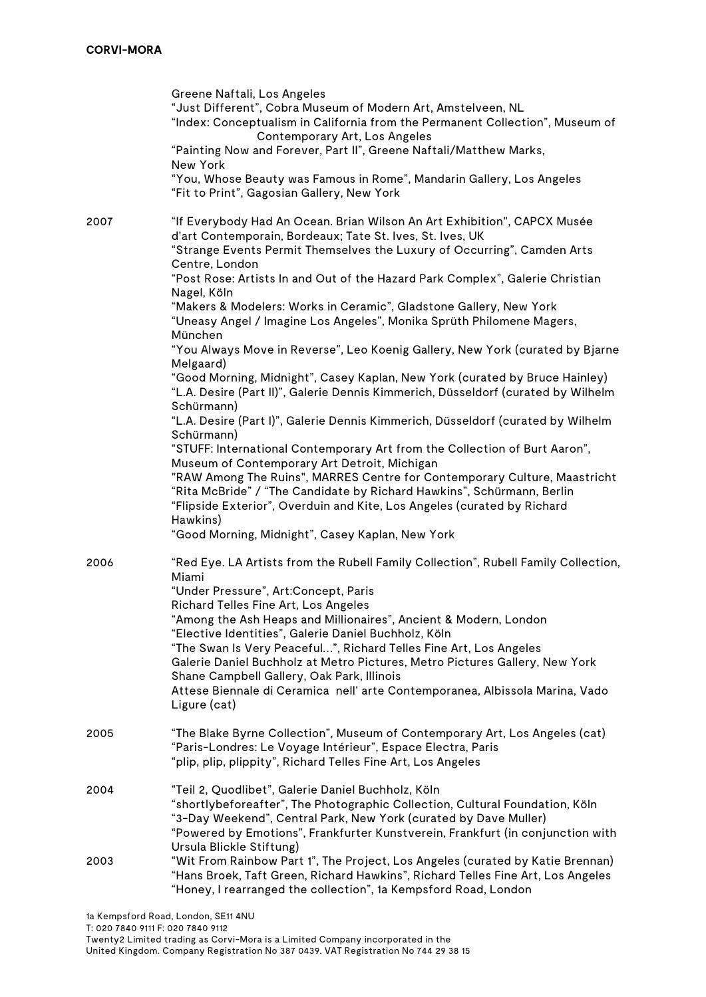|      | Greene Naftali, Los Angeles<br>"Just Different", Cobra Museum of Modern Art, Amstelveen, NL<br>"Index: Conceptualism in California from the Permanent Collection", Museum of<br>Contemporary Art, Los Angeles<br>"Painting Now and Forever, Part II", Greene Naftali/Matthew Marks,<br>New York<br>"You, Whose Beauty was Famous in Rome", Mandarin Gallery, Los Angeles<br>"Fit to Print", Gagosian Gallery, New York                                                                                                                                                                                                                                                                                                                                                                                                                                                                                                                                                                                                                                                                                                                                                                                                                                                                                         |
|------|----------------------------------------------------------------------------------------------------------------------------------------------------------------------------------------------------------------------------------------------------------------------------------------------------------------------------------------------------------------------------------------------------------------------------------------------------------------------------------------------------------------------------------------------------------------------------------------------------------------------------------------------------------------------------------------------------------------------------------------------------------------------------------------------------------------------------------------------------------------------------------------------------------------------------------------------------------------------------------------------------------------------------------------------------------------------------------------------------------------------------------------------------------------------------------------------------------------------------------------------------------------------------------------------------------------|
| 2007 | "If Everybody Had An Ocean. Brian Wilson An Art Exhibition", CAPCX Musée<br>d'art Contemporain, Bordeaux; Tate St. Ives, St. Ives, UK<br>"Strange Events Permit Themselves the Luxury of Occurring", Camden Arts<br>Centre, London<br>"Post Rose: Artists In and Out of the Hazard Park Complex", Galerie Christian<br>Nagel, Köln<br>"Makers & Modelers: Works in Ceramic", Gladstone Gallery, New York<br>"Uneasy Angel / Imagine Los Angeles", Monika Sprüth Philomene Magers,<br>München<br>"You Always Move in Reverse", Leo Koenig Gallery, New York (curated by Bjarne<br>Melgaard)<br>"Good Morning, Midnight", Casey Kaplan, New York (curated by Bruce Hainley)<br>"L.A. Desire (Part II)", Galerie Dennis Kimmerich, Düsseldorf (curated by Wilhelm<br>Schürmann)<br>"L.A. Desire (Part I)", Galerie Dennis Kimmerich, Düsseldorf (curated by Wilhelm<br>Schürmann)<br>"STUFF: International Contemporary Art from the Collection of Burt Aaron",<br>Museum of Contemporary Art Detroit, Michigan<br>"RAW Among The Ruins", MARRES Centre for Contemporary Culture, Maastricht<br>"Rita McBride" / "The Candidate by Richard Hawkins", Schürmann, Berlin<br>"Flipside Exterior", Overduin and Kite, Los Angeles (curated by Richard<br>Hawkins)<br>"Good Morning, Midnight", Casey Kaplan, New York |
| 2006 | "Red Eye. LA Artists from the Rubell Family Collection", Rubell Family Collection,<br>Miami<br>"Under Pressure", Art:Concept, Paris<br>Richard Telles Fine Art, Los Angeles<br>"Among the Ash Heaps and Millionaires", Ancient & Modern, London<br>"Elective Identities", Galerie Daniel Buchholz, Köln<br>"The Swan Is Very Peaceful", Richard Telles Fine Art, Los Angeles<br>Galerie Daniel Buchholz at Metro Pictures, Metro Pictures Gallery, New York<br>Shane Campbell Gallery, Oak Park, Illinois<br>Attese Biennale di Ceramica nell'arte Contemporanea, Albissola Marina, Vado<br>Ligure (cat)                                                                                                                                                                                                                                                                                                                                                                                                                                                                                                                                                                                                                                                                                                       |
| 2005 | "The Blake Byrne Collection", Museum of Contemporary Art, Los Angeles (cat)<br>"Paris-Londres: Le Voyage Intérieur", Espace Electra, Paris<br>"plip, plip, plippity", Richard Telles Fine Art, Los Angeles                                                                                                                                                                                                                                                                                                                                                                                                                                                                                                                                                                                                                                                                                                                                                                                                                                                                                                                                                                                                                                                                                                     |
| 2004 | "Teil 2, Quodlibet", Galerie Daniel Buchholz, Köln<br>"shortlybeforeafter", The Photographic Collection, Cultural Foundation, Köln<br>"3-Day Weekend", Central Park, New York (curated by Dave Muller)<br>"Powered by Emotions", Frankfurter Kunstverein, Frankfurt (in conjunction with<br>Ursula Blickle Stiftung)                                                                                                                                                                                                                                                                                                                                                                                                                                                                                                                                                                                                                                                                                                                                                                                                                                                                                                                                                                                           |
| 2003 | "Wit From Rainbow Part 1", The Project, Los Angeles (curated by Katie Brennan)<br>"Hans Broek, Taft Green, Richard Hawkins", Richard Telles Fine Art, Los Angeles<br>"Honey, I rearranged the collection", 1a Kempsford Road, London                                                                                                                                                                                                                                                                                                                                                                                                                                                                                                                                                                                                                                                                                                                                                                                                                                                                                                                                                                                                                                                                           |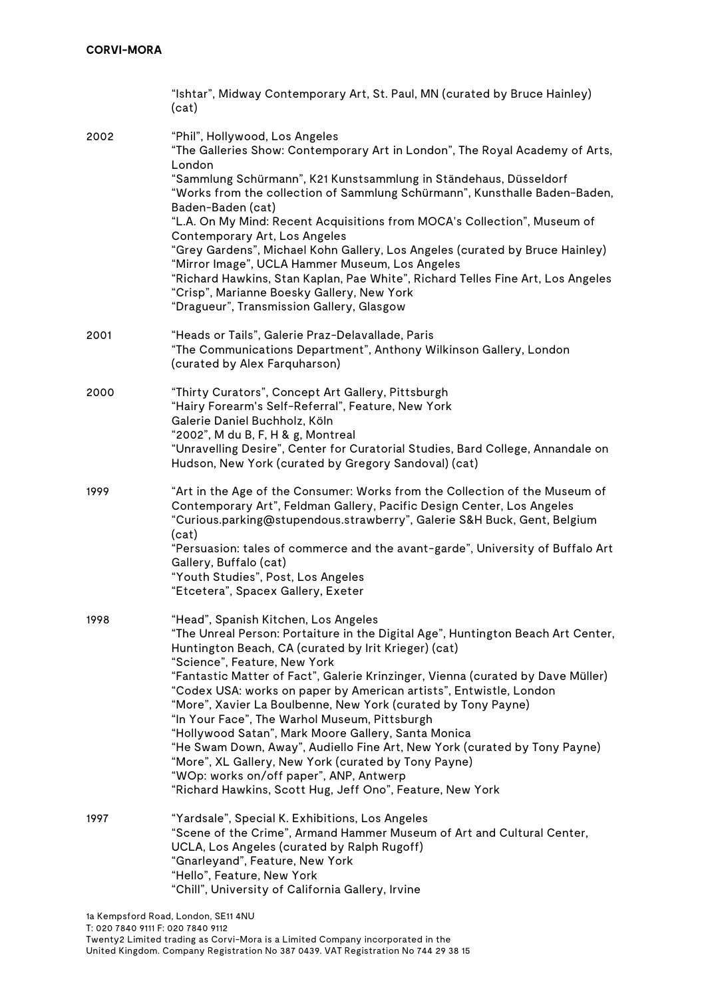|      | "Ishtar", Midway Contemporary Art, St. Paul, MN (curated by Bruce Hainley)<br>(cat)                                                                                                                                                                                                                                                                                                                                                                                                                                                                                                                                                                                                                                                                                                             |
|------|-------------------------------------------------------------------------------------------------------------------------------------------------------------------------------------------------------------------------------------------------------------------------------------------------------------------------------------------------------------------------------------------------------------------------------------------------------------------------------------------------------------------------------------------------------------------------------------------------------------------------------------------------------------------------------------------------------------------------------------------------------------------------------------------------|
| 2002 | "Phil", Hollywood, Los Angeles<br>"The Galleries Show: Contemporary Art in London", The Royal Academy of Arts,<br>London<br>"Sammlung Schürmann", K21 Kunstsammlung in Ständehaus, Düsseldorf<br>"Works from the collection of Sammlung Schürmann", Kunsthalle Baden-Baden,<br>Baden-Baden (cat)<br>"L.A. On My Mind: Recent Acquisitions from MOCA's Collection", Museum of<br>Contemporary Art, Los Angeles<br>"Grey Gardens", Michael Kohn Gallery, Los Angeles (curated by Bruce Hainley)<br>"Mirror Image", UCLA Hammer Museum, Los Angeles<br>"Richard Hawkins, Stan Kaplan, Pae White", Richard Telles Fine Art, Los Angeles<br>"Crisp", Marianne Boesky Gallery, New York<br>"Dragueur", Transmission Gallery, Glasgow                                                                  |
| 2001 | "Heads or Tails", Galerie Praz-Delavallade, Paris<br>"The Communications Department", Anthony Wilkinson Gallery, London<br>(curated by Alex Farquharson)                                                                                                                                                                                                                                                                                                                                                                                                                                                                                                                                                                                                                                        |
| 2000 | "Thirty Curators", Concept Art Gallery, Pittsburgh<br>"Hairy Forearm's Self-Referral", Feature, New York<br>Galerie Daniel Buchholz, Köln<br>"2002", M du B, F, H & g, Montreal<br>"Unravelling Desire", Center for Curatorial Studies, Bard College, Annandale on<br>Hudson, New York (curated by Gregory Sandoval) (cat)                                                                                                                                                                                                                                                                                                                                                                                                                                                                      |
| 1999 | "Art in the Age of the Consumer: Works from the Collection of the Museum of<br>Contemporary Art", Feldman Gallery, Pacific Design Center, Los Angeles<br>"Curious.parking@stupendous.strawberry", Galerie S&H Buck, Gent, Belgium<br>(cat)<br>"Persuasion: tales of commerce and the avant-garde", University of Buffalo Art<br>Gallery, Buffalo (cat)<br>"Youth Studies", Post, Los Angeles<br>"Etcetera", Spacex Gallery, Exeter                                                                                                                                                                                                                                                                                                                                                              |
| 1998 | "Head", Spanish Kitchen, Los Angeles<br>"The Unreal Person: Portaiture in the Digital Age", Huntington Beach Art Center,<br>Huntington Beach, CA (curated by Irit Krieger) (cat)<br>"Science", Feature, New York<br>"Fantastic Matter of Fact", Galerie Krinzinger, Vienna (curated by Dave Müller)<br>"Codex USA: works on paper by American artists", Entwistle, London<br>"More", Xavier La Boulbenne, New York (curated by Tony Payne)<br>"In Your Face", The Warhol Museum, Pittsburgh<br>"Hollywood Satan", Mark Moore Gallery, Santa Monica<br>"He Swam Down, Away", Audiello Fine Art, New York (curated by Tony Payne)<br>"More", XL Gallery, New York (curated by Tony Payne)<br>"WOp: works on/off paper", ANP, Antwerp<br>"Richard Hawkins, Scott Hug, Jeff Ono", Feature, New York |
| 1997 | "Yardsale", Special K. Exhibitions, Los Angeles<br>"Scene of the Crime", Armand Hammer Museum of Art and Cultural Center,<br>UCLA, Los Angeles (curated by Ralph Rugoff)<br>"Gnarleyand", Feature, New York<br>"Hello", Feature, New York<br>"Chill", University of California Gallery, Irvine                                                                                                                                                                                                                                                                                                                                                                                                                                                                                                  |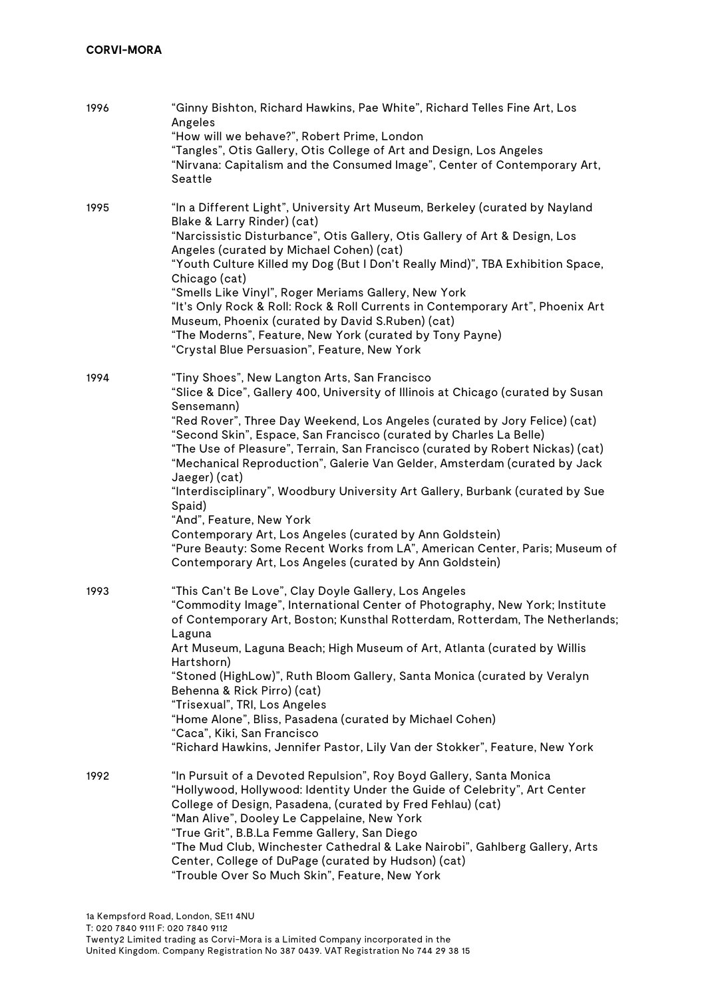| 1996 | "Ginny Bishton, Richard Hawkins, Pae White", Richard Telles Fine Art, Los<br>Angeles<br>"How will we behave?", Robert Prime, London<br>"Tangles", Otis Gallery, Otis College of Art and Design, Los Angeles<br>"Nirvana: Capitalism and the Consumed Image", Center of Contemporary Art,<br>Seattle                                                                                                                                                                                                                                                                                                                                                                                                                                                                                                               |
|------|-------------------------------------------------------------------------------------------------------------------------------------------------------------------------------------------------------------------------------------------------------------------------------------------------------------------------------------------------------------------------------------------------------------------------------------------------------------------------------------------------------------------------------------------------------------------------------------------------------------------------------------------------------------------------------------------------------------------------------------------------------------------------------------------------------------------|
| 1995 | "In a Different Light", University Art Museum, Berkeley (curated by Nayland<br>Blake & Larry Rinder) (cat)<br>"Narcissistic Disturbance", Otis Gallery, Otis Gallery of Art & Design, Los<br>Angeles (curated by Michael Cohen) (cat)<br>"Youth Culture Killed my Dog (But I Don't Really Mind)", TBA Exhibition Space,<br>Chicago (cat)<br>"Smells Like Vinyl", Roger Meriams Gallery, New York<br>"It's Only Rock & Roll: Rock & Roll Currents in Contemporary Art", Phoenix Art<br>Museum, Phoenix (curated by David S.Ruben) (cat)<br>"The Moderns", Feature, New York (curated by Tony Payne)<br>"Crystal Blue Persuasion", Feature, New York                                                                                                                                                                |
| 1994 | "Tiny Shoes", New Langton Arts, San Francisco<br>"Slice & Dice", Gallery 400, University of Illinois at Chicago (curated by Susan<br>Sensemann)<br>"Red Rover", Three Day Weekend, Los Angeles (curated by Jory Felice) (cat)<br>"Second Skin", Espace, San Francisco (curated by Charles La Belle)<br>"The Use of Pleasure", Terrain, San Francisco (curated by Robert Nickas) (cat)<br>"Mechanical Reproduction", Galerie Van Gelder, Amsterdam (curated by Jack<br>Jaeger) (cat)<br>"Interdisciplinary", Woodbury University Art Gallery, Burbank (curated by Sue<br>Spaid)<br>"And", Feature, New York<br>Contemporary Art, Los Angeles (curated by Ann Goldstein)<br>"Pure Beauty: Some Recent Works from LA", American Center, Paris; Museum of<br>Contemporary Art, Los Angeles (curated by Ann Goldstein) |
| 1993 | "This Can't Be Love", Clay Doyle Gallery, Los Angeles<br>"Commodity Image", International Center of Photography, New York; Institute<br>of Contemporary Art, Boston; Kunsthal Rotterdam, Rotterdam, The Netherlands;<br>Laguna<br>Art Museum, Laguna Beach; High Museum of Art, Atlanta (curated by Willis<br>Hartshorn)<br>"Stoned (HighLow)", Ruth Bloom Gallery, Santa Monica (curated by Veralyn<br>Behenna & Rick Pirro) (cat)<br>"Trisexual", TRI, Los Angeles<br>"Home Alone", Bliss, Pasadena (curated by Michael Cohen)<br>"Caca", Kiki, San Francisco<br>"Richard Hawkins, Jennifer Pastor, Lily Van der Stokker", Feature, New York                                                                                                                                                                    |
| 1992 | "In Pursuit of a Devoted Repulsion", Roy Boyd Gallery, Santa Monica<br>"Hollywood, Hollywood: Identity Under the Guide of Celebrity", Art Center<br>College of Design, Pasadena, (curated by Fred Fehlau) (cat)<br>"Man Alive", Dooley Le Cappelaine, New York<br>"True Grit", B.B.La Femme Gallery, San Diego<br>"The Mud Club, Winchester Cathedral & Lake Nairobi", Gahlberg Gallery, Arts<br>Center, College of DuPage (curated by Hudson) (cat)<br>"Trouble Over So Much Skin", Feature, New York                                                                                                                                                                                                                                                                                                            |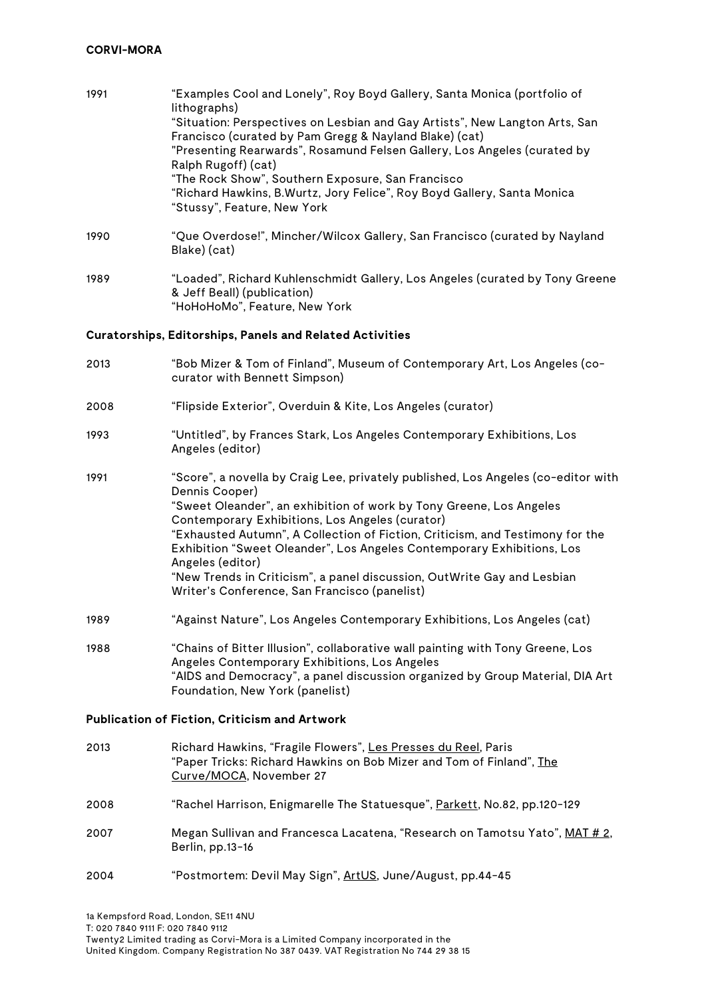| 1991                                          | "Examples Cool and Lonely", Roy Boyd Gallery, Santa Monica (portfolio of<br>lithographs)<br>"Situation: Perspectives on Lesbian and Gay Artists", New Langton Arts, San<br>Francisco (curated by Pam Gregg & Nayland Blake) (cat)<br>"Presenting Rearwards", Rosamund Felsen Gallery, Los Angeles (curated by<br>Ralph Rugoff) (cat)<br>"The Rock Show", Southern Exposure, San Francisco<br>"Richard Hawkins, B.Wurtz, Jory Felice", Roy Boyd Gallery, Santa Monica<br>"Stussy", Feature, New York                                      |  |
|-----------------------------------------------|------------------------------------------------------------------------------------------------------------------------------------------------------------------------------------------------------------------------------------------------------------------------------------------------------------------------------------------------------------------------------------------------------------------------------------------------------------------------------------------------------------------------------------------|--|
| 1990                                          | "Que Overdose!", Mincher/Wilcox Gallery, San Francisco (curated by Nayland<br>Blake) (cat)                                                                                                                                                                                                                                                                                                                                                                                                                                               |  |
| 1989                                          | "Loaded", Richard Kuhlenschmidt Gallery, Los Angeles (curated by Tony Greene<br>& Jeff Beall) (publication)<br>"HoHoHoMo", Feature, New York                                                                                                                                                                                                                                                                                                                                                                                             |  |
|                                               | <b>Curatorships, Editorships, Panels and Related Activities</b>                                                                                                                                                                                                                                                                                                                                                                                                                                                                          |  |
| 2013                                          | "Bob Mizer & Tom of Finland", Museum of Contemporary Art, Los Angeles (co-<br>curator with Bennett Simpson)                                                                                                                                                                                                                                                                                                                                                                                                                              |  |
| 2008                                          | "Flipside Exterior", Overduin & Kite, Los Angeles (curator)                                                                                                                                                                                                                                                                                                                                                                                                                                                                              |  |
| 1993                                          | "Untitled", by Frances Stark, Los Angeles Contemporary Exhibitions, Los<br>Angeles (editor)                                                                                                                                                                                                                                                                                                                                                                                                                                              |  |
| 1991                                          | "Score", a novella by Craig Lee, privately published, Los Angeles (co-editor with<br>Dennis Cooper)<br>"Sweet Oleander", an exhibition of work by Tony Greene, Los Angeles<br>Contemporary Exhibitions, Los Angeles (curator)<br>"Exhausted Autumn", A Collection of Fiction, Criticism, and Testimony for the<br>Exhibition "Sweet Oleander", Los Angeles Contemporary Exhibitions, Los<br>Angeles (editor)<br>"New Trends in Criticism", a panel discussion, OutWrite Gay and Lesbian<br>Writer's Conference, San Francisco (panelist) |  |
| 1989                                          | "Against Nature", Los Angeles Contemporary Exhibitions, Los Angeles (cat)                                                                                                                                                                                                                                                                                                                                                                                                                                                                |  |
| 1988                                          | "Chains of Bitter Illusion", collaborative wall painting with Tony Greene, Los<br>Angeles Contemporary Exhibitions, Los Angeles<br>"AIDS and Democracy", a panel discussion organized by Group Material, DIA Art<br>Foundation, New York (panelist)                                                                                                                                                                                                                                                                                      |  |
| Publication of Fiction, Criticism and Artwork |                                                                                                                                                                                                                                                                                                                                                                                                                                                                                                                                          |  |
| 2013                                          | Richard Hawkins, "Fragile Flowers", Les Presses du Reel, Paris<br>"Paper Tricks: Richard Hawkins on Bob Mizer and Tom of Finland", The<br>Curve/MOCA, November 27                                                                                                                                                                                                                                                                                                                                                                        |  |
| 2008                                          | "Rachel Harrison, Enigmarelle The Statuesque", Parkett, No.82, pp.120-129                                                                                                                                                                                                                                                                                                                                                                                                                                                                |  |
| 2007                                          | Megan Sullivan and Francesca Lacatena, "Research on Tamotsu Yato", MAT # 2,<br>Berlin, pp.13-16                                                                                                                                                                                                                                                                                                                                                                                                                                          |  |
| 2004                                          | "Postmortem: Devil May Sign", ArtUS, June/August, pp.44-45                                                                                                                                                                                                                                                                                                                                                                                                                                                                               |  |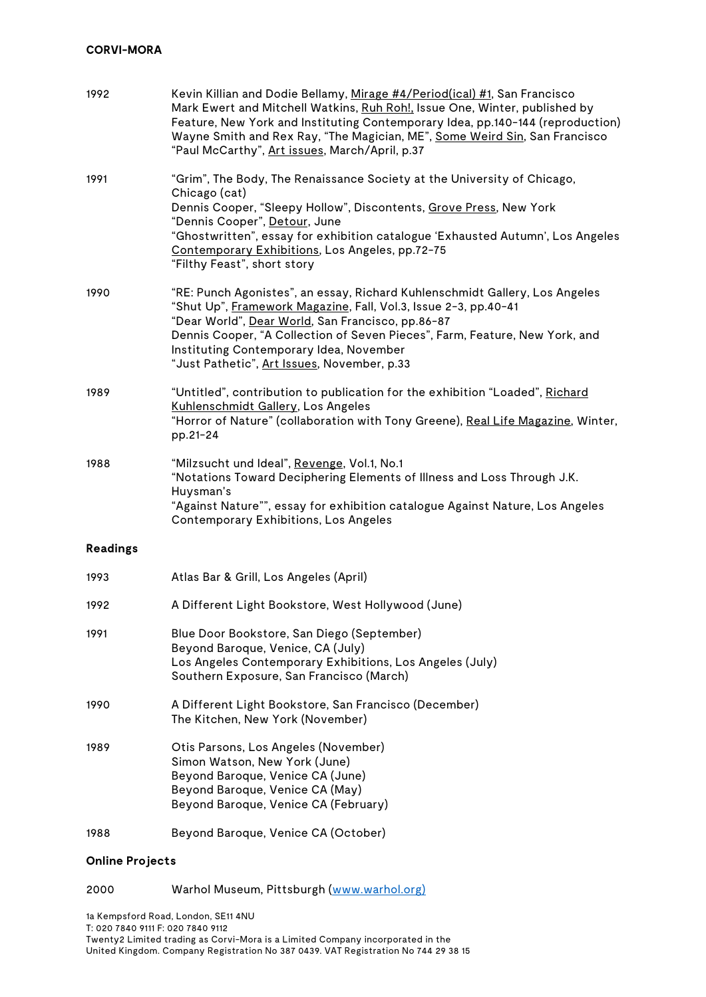| 1992            | Kevin Killian and Dodie Bellamy, Mirage #4/Period(ical) #1, San Francisco<br>Mark Ewert and Mitchell Watkins, Ruh Roh!, Issue One, Winter, published by<br>Feature, New York and Instituting Contemporary Idea, pp.140-144 (reproduction)<br>Wayne Smith and Rex Ray, "The Magician, ME", Some Weird Sin, San Francisco<br>"Paul McCarthy", Art issues, March/April, p.37    |
|-----------------|------------------------------------------------------------------------------------------------------------------------------------------------------------------------------------------------------------------------------------------------------------------------------------------------------------------------------------------------------------------------------|
| 1991            | "Grim", The Body, The Renaissance Society at the University of Chicago,<br>Chicago (cat)<br>Dennis Cooper, "Sleepy Hollow", Discontents, Grove Press, New York<br>"Dennis Cooper", Detour, June<br>"Ghostwritten", essay for exhibition catalogue 'Exhausted Autumn', Los Angeles<br>Contemporary Exhibitions, Los Angeles, pp.72-75<br>"Filthy Feast", short story          |
| 1990            | "RE: Punch Agonistes", an essay, Richard Kuhlenschmidt Gallery, Los Angeles<br>"Shut Up", Framework Magazine, Fall, Vol.3, Issue 2-3, pp.40-41<br>"Dear World", Dear World, San Francisco, pp.86-87<br>Dennis Cooper, "A Collection of Seven Pieces", Farm, Feature, New York, and<br>Instituting Contemporary Idea, November<br>"Just Pathetic", Art Issues, November, p.33 |
| 1989            | "Untitled", contribution to publication for the exhibition "Loaded", Richard<br>Kuhlenschmidt Gallery, Los Angeles<br>"Horror of Nature" (collaboration with Tony Greene), Real Life Magazine, Winter,<br>pp.21-24                                                                                                                                                           |
| 1988            | "Milzsucht und Ideal", Revenge, Vol.1, No.1<br>"Notations Toward Deciphering Elements of Illness and Loss Through J.K.<br>Huysman's<br>"Against Nature"", essay for exhibition catalogue Against Nature, Los Angeles<br><b>Contemporary Exhibitions, Los Angeles</b>                                                                                                         |
| <b>Readings</b> |                                                                                                                                                                                                                                                                                                                                                                              |
| 1993            | Atlas Bar & Grill, Los Angeles (April)                                                                                                                                                                                                                                                                                                                                       |
| 1992            | A Different Light Bookstore, West Hollywood (June)                                                                                                                                                                                                                                                                                                                           |
| 1991            | Blue Door Bookstore, San Diego (September)<br>Beyond Baroque, Venice, CA (July)<br>Los Angeles Contemporary Exhibitions, Los Angeles (July)<br>Southern Exposure, San Francisco (March)                                                                                                                                                                                      |
| 1990            | A Different Light Bookstore, San Francisco (December)<br>The Kitchen, New York (November)                                                                                                                                                                                                                                                                                    |
| 1989            | Otis Parsons, Los Angeles (November)<br>Simon Watson, New York (June)<br>Beyond Baroque, Venice CA (June)<br>Beyond Baroque, Venice CA (May)<br>Beyond Baroque, Venice CA (February)                                                                                                                                                                                         |
| 1988            | Beyond Baroque, Venice CA (October)                                                                                                                                                                                                                                                                                                                                          |
|                 |                                                                                                                                                                                                                                                                                                                                                                              |

# **Online Projects**

## 2000 Warhol Museum, Pittsburgh (www.warhol.org)

1a Kempsford Road, London, SE11 4NU T: 020 7840 9111 F: 020 7840 9112 Twenty2 Limited trading as Corvi-Mora is a Limited Company incorporated in the United Kingdom. Company Registration No 387 0439. VAT Registration No 744 29 38 15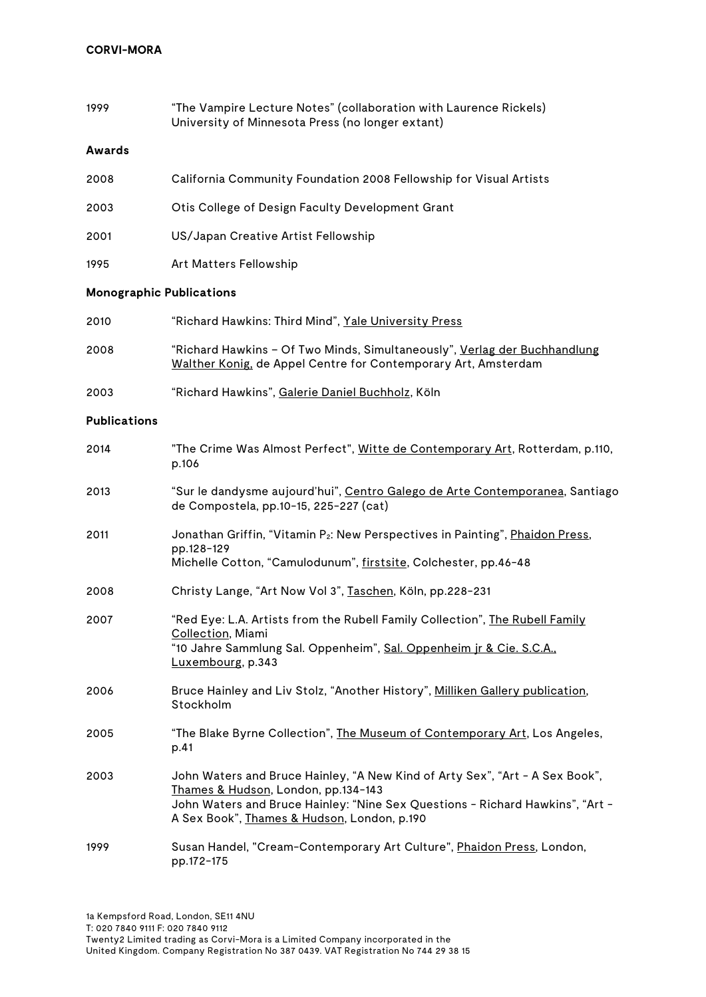| 1999                            | "The Vampire Lecture Notes" (collaboration with Laurence Rickels)<br>University of Minnesota Press (no longer extant)                                                                                                                               |
|---------------------------------|-----------------------------------------------------------------------------------------------------------------------------------------------------------------------------------------------------------------------------------------------------|
| Awards                          |                                                                                                                                                                                                                                                     |
| 2008                            | California Community Foundation 2008 Fellowship for Visual Artists                                                                                                                                                                                  |
| 2003                            | Otis College of Design Faculty Development Grant                                                                                                                                                                                                    |
| 2001                            | US/Japan Creative Artist Fellowship                                                                                                                                                                                                                 |
| 1995                            | Art Matters Fellowship                                                                                                                                                                                                                              |
| <b>Monographic Publications</b> |                                                                                                                                                                                                                                                     |
| 2010                            | "Richard Hawkins: Third Mind", Yale University Press                                                                                                                                                                                                |
| 2008                            | "Richard Hawkins - Of Two Minds, Simultaneously", Verlag der Buchhandlung<br>Walther Konig, de Appel Centre for Contemporary Art, Amsterdam                                                                                                         |
| 2003                            | "Richard Hawkins", Galerie Daniel Buchholz, Köln                                                                                                                                                                                                    |
| <b>Publications</b>             |                                                                                                                                                                                                                                                     |
| 2014                            | "The Crime Was Almost Perfect", Witte de Contemporary Art, Rotterdam, p.110,<br>p.106                                                                                                                                                               |
| 2013                            | "Sur le dandysme aujourd'hui", Centro Galego de Arte Contemporanea, Santiago<br>de Compostela, pp.10-15, 225-227 (cat)                                                                                                                              |
| 2011                            | Jonathan Griffin, "Vitamin P <sub>2</sub> : New Perspectives in Painting", Phaidon Press,<br>pp.128-129<br>Michelle Cotton, "Camulodunum", firstsite, Colchester, pp.46-48                                                                          |
| 2008                            | Christy Lange, "Art Now Vol 3", Taschen, Köln, pp.228-231                                                                                                                                                                                           |
| 2007                            | "Red Eye: L.A. Artists from the Rubell Family Collection", The Rubell Family<br><u>Collection</u> , Miami<br>"10 Jahre Sammlung Sal. Oppenheim", Sal. Oppenheim jr & Cie. S.C.A.,<br>Luxembourg, p.343                                              |
| 2006                            | Bruce Hainley and Liv Stolz, "Another History", Milliken Gallery publication,<br>Stockholm                                                                                                                                                          |
| 2005                            | "The Blake Byrne Collection", The Museum of Contemporary Art, Los Angeles,<br>p.41                                                                                                                                                                  |
| 2003                            | John Waters and Bruce Hainley, "A New Kind of Arty Sex", "Art - A Sex Book",<br>Thames & Hudson, London, pp.134-143<br>John Waters and Bruce Hainley: "Nine Sex Questions - Richard Hawkins", "Art -<br>A Sex Book", Thames & Hudson, London, p.190 |
| 1999                            | Susan Handel, "Cream-Contemporary Art Culture", Phaidon Press, London,<br>pp.172-175                                                                                                                                                                |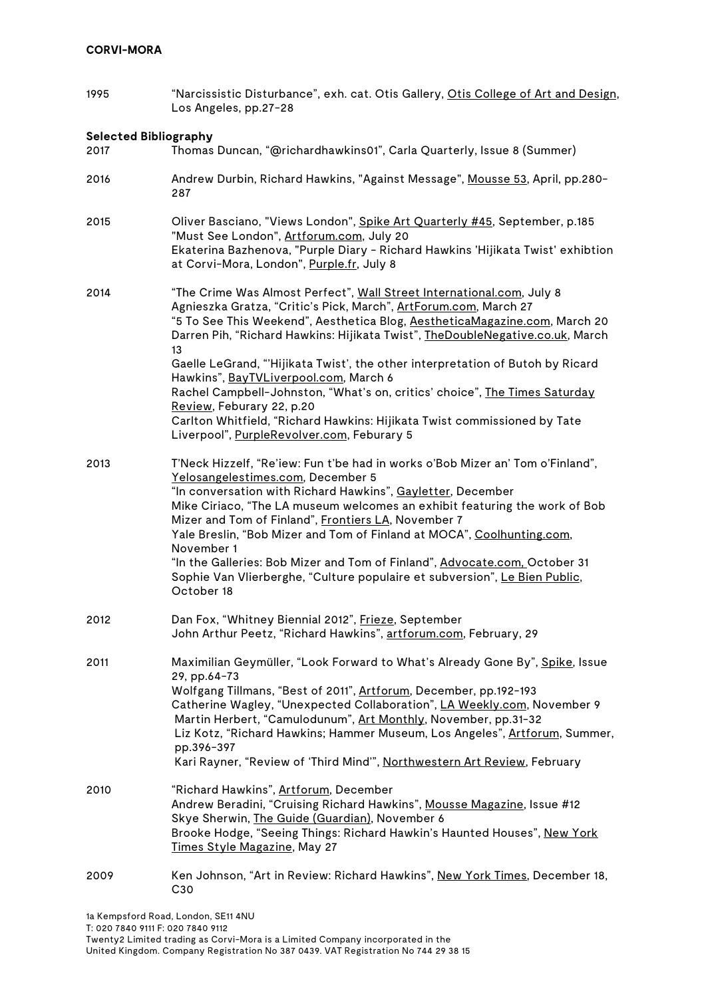1995 "Narcissistic Disturbance", exh. cat. Otis Gallery, Otis College of Art and Design, Los Angeles, pp.27-28

## **Selected Bibliography**

| 2017 | Thomas Duncan, "@richardhawkins01", Carla Quarterly, Issue 8 (Summer)                                                                                                                                                                                                                                                                                                                                                                                                                                                                                                                                                                                                         |
|------|-------------------------------------------------------------------------------------------------------------------------------------------------------------------------------------------------------------------------------------------------------------------------------------------------------------------------------------------------------------------------------------------------------------------------------------------------------------------------------------------------------------------------------------------------------------------------------------------------------------------------------------------------------------------------------|
| 2016 | Andrew Durbin, Richard Hawkins, "Against Message", Mousse 53, April, pp.280-<br>287                                                                                                                                                                                                                                                                                                                                                                                                                                                                                                                                                                                           |
| 2015 | Oliver Basciano, "Views London", Spike Art Quarterly #45, September, p.185<br>"Must See London", Artforum.com, July 20<br>Ekaterina Bazhenova, "Purple Diary - Richard Hawkins 'Hijikata Twist' exhibtion<br>at Corvi-Mora, London", Purple.fr, July 8                                                                                                                                                                                                                                                                                                                                                                                                                        |
| 2014 | "The Crime Was Almost Perfect", Wall Street International.com, July 8<br>Agnieszka Gratza, "Critic's Pick, March", ArtForum.com, March 27<br>"5 To See This Weekend", Aesthetica Blog, AestheticaMagazine.com, March 20<br>Darren Pih, "Richard Hawkins: Hijikata Twist", TheDoubleNegative.co.uk, March<br>13<br>Gaelle LeGrand, "Hijikata Twist', the other interpretation of Butoh by Ricard<br>Hawkins", BayTVLiverpool.com, March 6<br>Rachel Campbell-Johnston, "What's on, critics' choice", The Times Saturday<br>Review, Feburary 22, p.20<br>Carlton Whitfield, "Richard Hawkins: Hijikata Twist commissioned by Tate<br>Liverpool", PurpleRevolver.com, Feburary 5 |
| 2013 | T'Neck Hizzelf, "Re'iew: Fun t'be had in works o'Bob Mizer an' Tom o'Finland",<br>Yelosangelestimes.com, December 5<br>"In conversation with Richard Hawkins", Gayletter, December<br>Mike Ciriaco, "The LA museum welcomes an exhibit featuring the work of Bob<br>Mizer and Tom of Finland", Frontiers LA, November 7<br>Yale Breslin, "Bob Mizer and Tom of Finland at MOCA", Coolhunting.com,<br>November 1<br>"In the Galleries: Bob Mizer and Tom of Finland", Advocate.com, October 31<br>Sophie Van Vlierberghe, "Culture populaire et subversion", Le Bien Public,<br>October 18                                                                                     |
| 2012 | Dan Fox, "Whitney Biennial 2012", Frieze, September<br>John Arthur Peetz, "Richard Hawkins", artforum.com, February, 29                                                                                                                                                                                                                                                                                                                                                                                                                                                                                                                                                       |
| 2011 | Maximilian Geymüller, "Look Forward to What's Already Gone By", Spike, Issue<br>29, pp.64-73<br>Wolfgang Tillmans, "Best of 2011", Artforum, December, pp.192-193<br>Catherine Wagley, "Unexpected Collaboration", LA Weekly.com, November 9<br>Martin Herbert, "Camulodunum", Art Monthly, November, pp.31-32<br>Liz Kotz, "Richard Hawkins; Hammer Museum, Los Angeles", Artforum, Summer,<br>pp.396-397<br>Kari Rayner, "Review of 'Third Mind'", Northwestern Art Review, February                                                                                                                                                                                        |
| 2010 | "Richard Hawkins", Artforum, December<br>Andrew Beradini, "Cruising Richard Hawkins", Mousse Magazine, Issue #12<br>Skye Sherwin, The Guide (Guardian), November 6<br>Brooke Hodge, "Seeing Things: Richard Hawkin's Haunted Houses", New York<br>Times Style Magazine, May 27                                                                                                                                                                                                                                                                                                                                                                                                |
| 2009 | Ken Johnson, "Art in Review: Richard Hawkins", New York Times, December 18,<br>C30                                                                                                                                                                                                                                                                                                                                                                                                                                                                                                                                                                                            |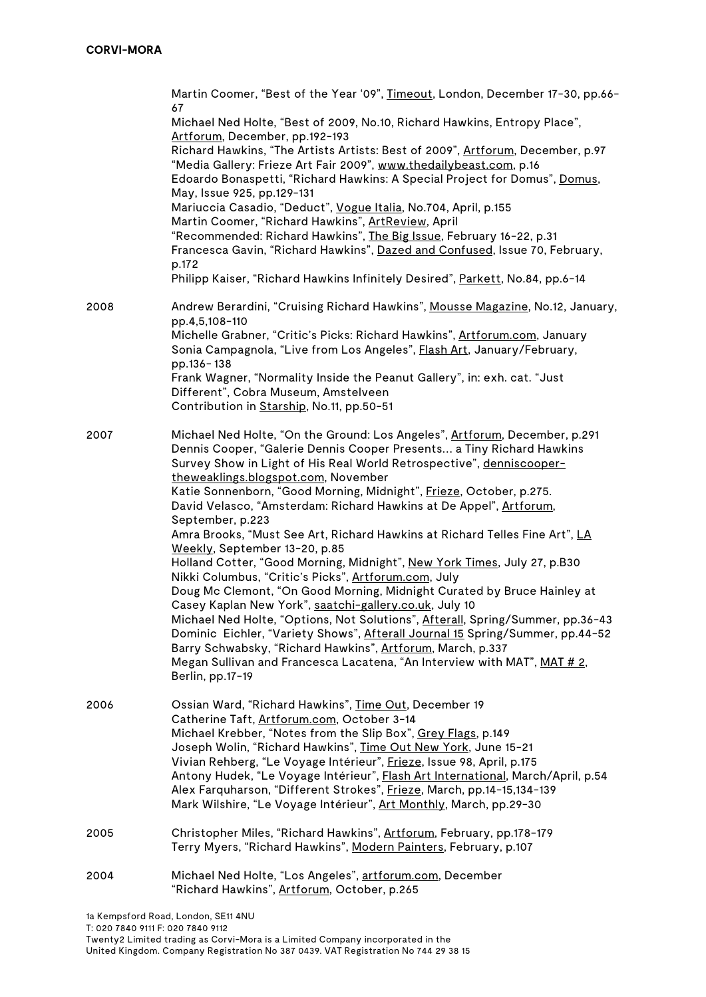|      | Martin Coomer, "Best of the Year '09", <i>Iimeout</i> , London, December 17-30, pp.66-<br>67<br>Michael Ned Holte, "Best of 2009, No.10, Richard Hawkins, Entropy Place",<br>Artforum, December, pp.192-193<br>Richard Hawkins, "The Artists Artists: Best of 2009", Artforum, December, p.97<br>"Media Gallery: Frieze Art Fair 2009", www.thedailybeast.com, p.16<br>Edoardo Bonaspetti, "Richard Hawkins: A Special Project for Domus", Domus,<br>May, Issue 925, pp.129-131<br>Mariuccia Casadio, "Deduct", Vogue Italia, No.704, April, p.155<br>Martin Coomer, "Richard Hawkins", ArtReview, April<br>"Recommended: Richard Hawkins", The Big Issue, February 16-22, p.31<br>Francesca Gavin, "Richard Hawkins", Dazed and Confused, Issue 70, February,<br>p.172<br>Philipp Kaiser, "Richard Hawkins Infinitely Desired", Parkett, No.84, pp.6-14                                                                                                                                                                                                                                                                                                      |
|------|---------------------------------------------------------------------------------------------------------------------------------------------------------------------------------------------------------------------------------------------------------------------------------------------------------------------------------------------------------------------------------------------------------------------------------------------------------------------------------------------------------------------------------------------------------------------------------------------------------------------------------------------------------------------------------------------------------------------------------------------------------------------------------------------------------------------------------------------------------------------------------------------------------------------------------------------------------------------------------------------------------------------------------------------------------------------------------------------------------------------------------------------------------------|
| 2008 | Andrew Berardini, "Cruising Richard Hawkins", Mousse Magazine, No.12, January,<br>pp.4,5,108-110<br>Michelle Grabner, "Critic's Picks: Richard Hawkins", Artforum.com, January<br>Sonia Campagnola, "Live from Los Angeles", Flash Art, January/February,<br>pp.136-138<br>Frank Wagner, "Normality Inside the Peanut Gallery", in: exh. cat. "Just<br>Different", Cobra Museum, Amstelveen<br>Contribution in Starship, No.11, pp.50-51                                                                                                                                                                                                                                                                                                                                                                                                                                                                                                                                                                                                                                                                                                                      |
| 2007 | Michael Ned Holte, "On the Ground: Los Angeles", Artforum, December, p.291<br>Dennis Cooper, "Galerie Dennis Cooper Presents a Tiny Richard Hawkins<br>Survey Show in Light of His Real World Retrospective", denniscooper-<br>theweaklings.blogspot.com, November<br>Katie Sonnenborn, "Good Morning, Midnight", Frieze, October, p.275.<br>David Velasco, "Amsterdam: Richard Hawkins at De Appel", Artforum,<br>September, p.223<br>Amra Brooks, "Must See Art, Richard Hawkins at Richard Telles Fine Art", LA<br>Weekly, September 13-20, p.85<br>Holland Cotter, "Good Morning, Midnight", New York Times, July 27, p.B30<br>Nikki Columbus, "Critic's Picks", Artforum.com, July<br>Doug Mc Clemont, "On Good Morning, Midnight Curated by Bruce Hainley at<br>Casey Kaplan New York", saatchi-gallery.co.uk, July 10<br>Michael Ned Holte, "Options, Not Solutions", Afterall, Spring/Summer, pp.36-43<br>Dominic Eichler, "Variety Shows", Afterall Journal 15 Spring/Summer, pp.44-52<br>Barry Schwabsky, "Richard Hawkins", Artforum, March, p.337<br>Megan Sullivan and Francesca Lacatena, "An Interview with MAT", MAT # 2,<br>Berlin, pp.17-19 |
| 2006 | Ossian Ward, "Richard Hawkins", Time Out, December 19<br>Catherine Taft, Artforum.com, October 3-14<br>Michael Krebber, "Notes from the Slip Box", Grey Flags, p.149<br>Joseph Wolin, "Richard Hawkins", Time Out New York, June 15-21<br>Vivian Rehberg, "Le Voyage Intérieur", Frieze, Issue 98, April, p.175<br>Antony Hudek, "Le Voyage Intérieur", Flash Art International, March/April, p.54<br>Alex Farquharson, "Different Strokes", Frieze, March, pp.14-15,134-139<br>Mark Wilshire, "Le Voyage Intérieur", Art Monthly, March, pp.29-30                                                                                                                                                                                                                                                                                                                                                                                                                                                                                                                                                                                                            |
| 2005 | Christopher Miles, "Richard Hawkins", Artforum, February, pp.178-179<br>Terry Myers, "Richard Hawkins", Modern Painters, February, p.107                                                                                                                                                                                                                                                                                                                                                                                                                                                                                                                                                                                                                                                                                                                                                                                                                                                                                                                                                                                                                      |
| 2004 | Michael Ned Holte, "Los Angeles", artforum.com, December<br>"Richard Hawkins", Artforum, October, p.265                                                                                                                                                                                                                                                                                                                                                                                                                                                                                                                                                                                                                                                                                                                                                                                                                                                                                                                                                                                                                                                       |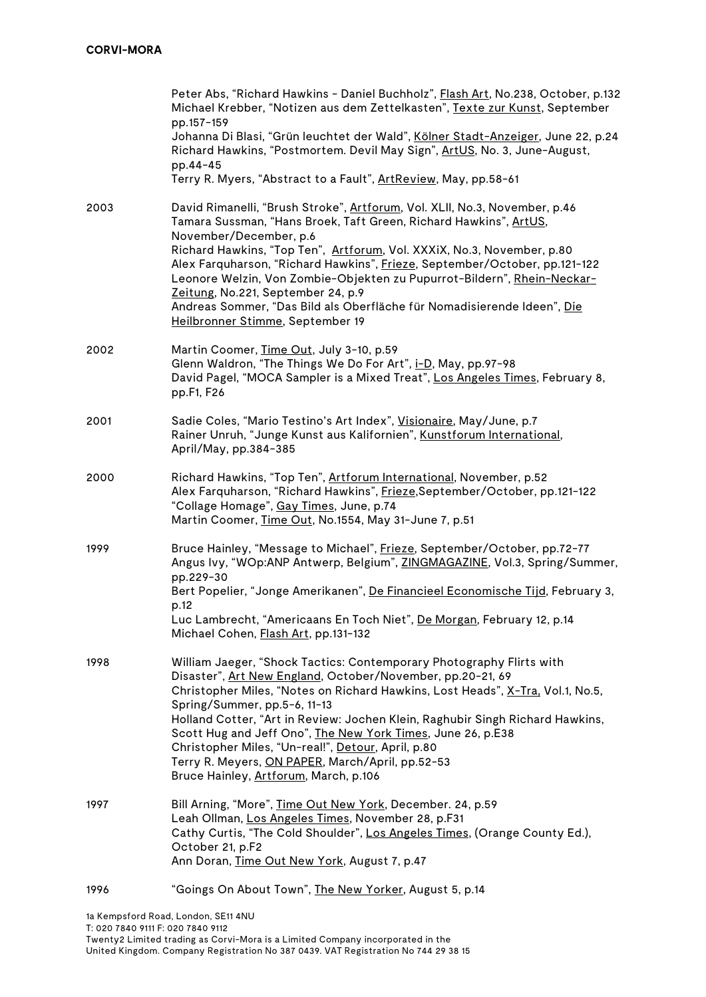|      | Peter Abs, "Richard Hawkins - Daniel Buchholz", Flash Art, No.238, October, p.132<br>Michael Krebber, "Notizen aus dem Zettelkasten", Texte zur Kunst, September<br>pp.157-159<br>Johanna Di Blasi, "Grün leuchtet der Wald", Kölner Stadt-Anzeiger, June 22, p.24<br>Richard Hawkins, "Postmortem. Devil May Sign", ArtUS, No. 3, June-August,<br>pp.44-45<br>Terry R. Myers, "Abstract to a Fault", ArtReview, May, pp.58-61                                                                                                                                    |
|------|-------------------------------------------------------------------------------------------------------------------------------------------------------------------------------------------------------------------------------------------------------------------------------------------------------------------------------------------------------------------------------------------------------------------------------------------------------------------------------------------------------------------------------------------------------------------|
| 2003 | David Rimanelli, "Brush Stroke", Artforum, Vol. XLII, No.3, November, p.46<br>Tamara Sussman, "Hans Broek, Taft Green, Richard Hawkins", ArtUS,<br>November/December, p.6<br>Richard Hawkins, "Top Ten", Artforum, Vol. XXXiX, No.3, November, p.80<br>Alex Farquharson, "Richard Hawkins", Frieze, September/October, pp.121-122<br>Leonore Welzin, Von Zombie-Objekten zu Pupurrot-Bildern", Rhein-Neckar-<br>Zeitung, No.221, September 24, p.9<br>Andreas Sommer, "Das Bild als Oberfläche für Nomadisierende Ideen", Die<br>Heilbronner Stimme, September 19 |
| 2002 | Martin Coomer, Time Out, July 3-10, p.59<br>Glenn Waldron, "The Things We Do For Art", i-D, May, pp.97-98<br>David Pagel, "MOCA Sampler is a Mixed Treat", Los Angeles Times, February 8,<br>pp.F1, F26                                                                                                                                                                                                                                                                                                                                                           |
| 2001 | Sadie Coles, "Mario Testino's Art Index", Visionaire, May/June, p.7<br>Rainer Unruh, "Junge Kunst aus Kalifornien", Kunstforum International,<br>April/May, pp.384-385                                                                                                                                                                                                                                                                                                                                                                                            |
| 2000 | Richard Hawkins, "Top Ten", Artforum International, November, p.52<br>Alex Farquharson, "Richard Hawkins", Frieze, September/October, pp.121-122<br>"Collage Homage", Gay Times, June, p.74<br>Martin Coomer, Time Out, No.1554, May 31-June 7, p.51                                                                                                                                                                                                                                                                                                              |
| 1999 | Bruce Hainley, "Message to Michael", Frieze, September/October, pp.72-77<br>Angus Ivy, "WOp:ANP Antwerp, Belgium", ZINGMAGAZINE, Vol.3, Spring/Summer,<br>pp.229-30<br>Bert Popelier, "Jonge Amerikanen", De Financieel Economische Tijd, February 3,<br>p.12<br>Luc Lambrecht, "Americaans En Toch Niet", De Morgan, February 12, p.14<br>Michael Cohen, Flash Art, pp.131-132                                                                                                                                                                                   |
| 1998 | William Jaeger, "Shock Tactics: Contemporary Photography Flirts with<br>Disaster", Art New England, October/November, pp.20-21, 69<br>Christopher Miles, "Notes on Richard Hawkins, Lost Heads", X-Tra, Vol.1, No.5,<br>Spring/Summer, pp.5-6, 11-13<br>Holland Cotter, "Art in Review: Jochen Klein, Raghubir Singh Richard Hawkins,<br>Scott Hug and Jeff Ono", The New York Times, June 26, p.E38<br>Christopher Miles, "Un-real!", Detour, April, p.80<br>Terry R. Meyers, ON PAPER, March/April, pp.52-53<br>Bruce Hainley, Artforum, March, p.106           |
| 1997 | Bill Arning, "More", Time Out New York, December. 24, p.59<br>Leah Ollman, Los Angeles Times, November 28, p.F31<br>Cathy Curtis, "The Cold Shoulder", Los Angeles Times, (Orange County Ed.),<br>October 21, p.F2<br>Ann Doran, Time Out New York, August 7, p.47                                                                                                                                                                                                                                                                                                |
| 1996 | "Goings On About Town", The New Yorker, August 5, p.14                                                                                                                                                                                                                                                                                                                                                                                                                                                                                                            |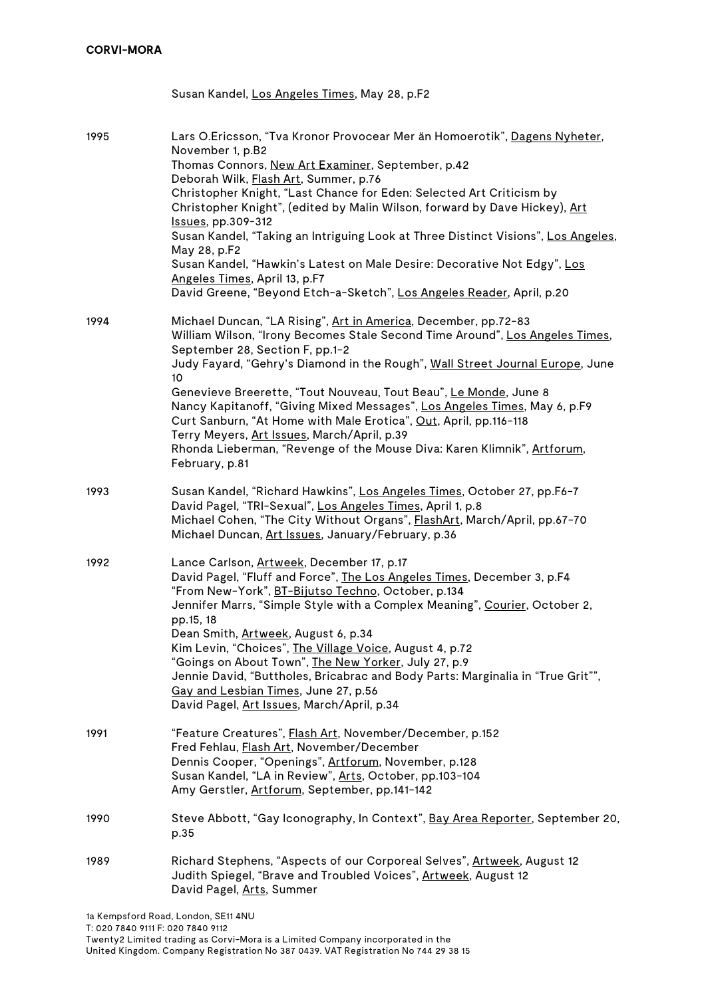Susan Kandel, Los Angeles Times, May 28, p.F2

| 1995 | Lars O.Ericsson, "Tva Kronor Provocear Mer än Homoerotik", Dagens Nyheter,<br>November 1, p.B2<br>Thomas Connors, New Art Examiner, September, p.42<br>Deborah Wilk, Flash Art, Summer, p.76<br>Christopher Knight, "Last Chance for Eden: Selected Art Criticism by<br>Christopher Knight", (edited by Malin Wilson, forward by Dave Hickey), Art<br>Issues, pp.309-312<br>Susan Kandel, "Taking an Intriguing Look at Three Distinct Visions", Los Angeles,<br>May 28, p.F2<br>Susan Kandel, "Hawkin's Latest on Male Desire: Decorative Not Edgy", Los<br>Angeles Times, April 13, p.F7<br>David Greene, "Beyond Etch-a-Sketch", Los Angeles Reader, April, p.20 |
|------|---------------------------------------------------------------------------------------------------------------------------------------------------------------------------------------------------------------------------------------------------------------------------------------------------------------------------------------------------------------------------------------------------------------------------------------------------------------------------------------------------------------------------------------------------------------------------------------------------------------------------------------------------------------------|
| 1994 | Michael Duncan, "LA Rising", Art in America, December, pp.72-83<br>William Wilson, "Irony Becomes Stale Second Time Around", Los Angeles Times,<br>September 28, Section F, pp.1-2<br>Judy Fayard, "Gehry's Diamond in the Rough", Wall Street Journal Europe, June<br>10 <sup>°</sup><br>Genevieve Breerette, "Tout Nouveau, Tout Beau", Le Monde, June 8<br>Nancy Kapitanoff, "Giving Mixed Messages", Los Angeles Times, May 6, p.F9<br>Curt Sanburn, "At Home with Male Erotica", Out, April, pp.116-118<br>Terry Meyers, Art Issues, March/April, p.39<br>Rhonda Lieberman, "Revenge of the Mouse Diva: Karen Klimnik", Artforum,<br>February, p.81            |
| 1993 | Susan Kandel, "Richard Hawkins", Los Angeles Times, October 27, pp.F6-7<br>David Pagel, "TRI-Sexual", Los Angeles Times, April 1, p.8<br>Michael Cohen, "The City Without Organs", FlashArt, March/April, pp.67-70<br>Michael Duncan, Art Issues, January/February, p.36                                                                                                                                                                                                                                                                                                                                                                                            |
| 1992 | Lance Carlson, Artweek, December 17, p.17<br>David Pagel, "Fluff and Force", The Los Angeles Times, December 3, p.F4<br>"From New-York", BT-Bijutso Techno, October, p.134<br>Jennifer Marrs, "Simple Style with a Complex Meaning", Courier, October 2,<br>pp.15, 18<br>Dean Smith, Artweek, August 6, p.34<br>Kim Levin, "Choices", The Village Voice, August 4, p.72<br>"Goings on About Town", The New Yorker, July 27, p.9<br>Jennie David, "Buttholes, Bricabrac and Body Parts: Marginalia in "True Grit"",<br>Gay and Lesbian Times, June 27, p.56<br>David Pagel, Art Issues, March/April, p.34                                                            |
| 1991 | "Feature Creatures", Flash Art, November/December, p.152<br>Fred Fehlau, Flash Art, November/December<br>Dennis Cooper, "Openings", Artforum, November, p.128<br>Susan Kandel, "LA in Review", Arts, October, pp.103-104<br>Amy Gerstler, Artforum, September, pp.141-142                                                                                                                                                                                                                                                                                                                                                                                           |
| 1990 | Steve Abbott, "Gay Iconography, In Context", Bay Area Reporter, September 20,<br>p.35                                                                                                                                                                                                                                                                                                                                                                                                                                                                                                                                                                               |
| 1989 | Richard Stephens, "Aspects of our Corporeal Selves", Artweek, August 12<br>Judith Spiegel, "Brave and Troubled Voices", Artweek, August 12<br>David Pagel, Arts, Summer                                                                                                                                                                                                                                                                                                                                                                                                                                                                                             |